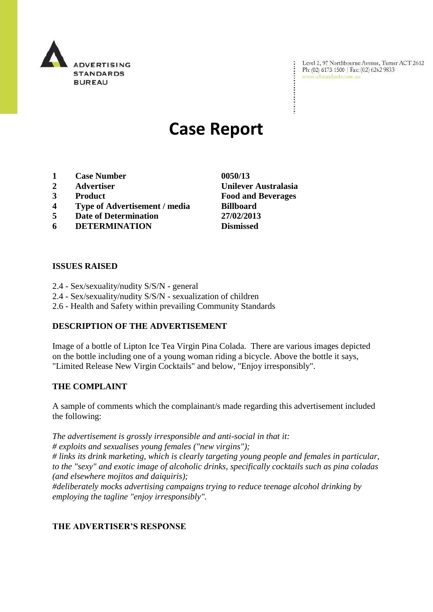

Level 2, 97 Northbourne Avenue, Turner ACT 2612 Ph: (02) 6173 1500 | Fax: (02) 6262 9833 www.adstandards.com.au

# **Case Report**

- **1 Case Number 0050/13**
- **2 Advertiser Unilever Australasia**
- **3 Product Food and Beverages**
- **4 Type of Advertisement / media Billboard**
- **5 Date of Determination 27/02/2013**
- **6 DETERMINATION Dismissed**

**ISSUES RAISED**

- 2.4 Sex/sexuality/nudity S/S/N general
- 2.4 Sex/sexuality/nudity S/S/N sexualization of children
- 2.6 Health and Safety within prevailing Community Standards

# **DESCRIPTION OF THE ADVERTISEMENT**

Image of a bottle of Lipton Ice Tea Virgin Pina Colada. There are various images depicted on the bottle including one of a young woman riding a bicycle. Above the bottle it says, "Limited Release New Virgin Cocktails" and below, "Enjoy irresponsibly".

## **THE COMPLAINT**

A sample of comments which the complainant/s made regarding this advertisement included the following:

*The advertisement is grossly irresponsible and anti-social in that it:*

*# exploits and sexualises young females ("new virgins");*

*# links its drink marketing, which is clearly targeting young people and females in particular, to the "sexy" and exotic image of alcoholic drinks, specifically cocktails such as pina coladas (and elsewhere mojitos and daiquiris);*

*#deliberately mocks advertising campaigns trying to reduce teenage alcohol drinking by employing the tagline "enjoy irresponsibly".*

# **THE ADVERTISER'S RESPONSE**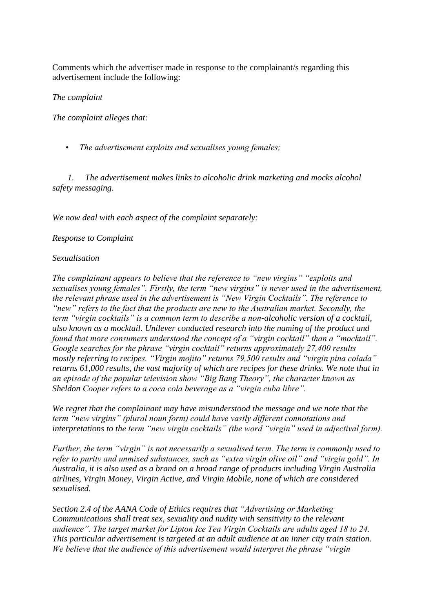Comments which the advertiser made in response to the complainant/s regarding this advertisement include the following:

## *The complaint*

*The complaint alleges that:*

 *• The advertisement exploits and sexualises young females;*

 *1. The advertisement makes links to alcoholic drink marketing and mocks alcohol safety messaging.*

*We now deal with each aspect of the complaint separately:*

## *Response to Complaint*

## *Sexualisation*

*The complainant appears to believe that the reference to "new virgins" "exploits and sexualises young females". Firstly, the term "new virgins" is never used in the advertisement, the relevant phrase used in the advertisement is "New Virgin Cocktails". The reference to "new" refers to the fact that the products are new to the Australian market. Secondly, the term "virgin cocktails" is a common term to describe a non-alcoholic version of a cocktail, also known as a mocktail. Unilever conducted research into the naming of the product and found that more consumers understood the concept of a "virgin cocktail" than a "mocktail". Google searches for the phrase "virgin cocktail" returns approximately 27,400 results mostly referring to recipes. "Virgin mojito" returns 79,500 results and "virgin pina colada" returns 61,000 results, the vast majority of which are recipes for these drinks. We note that in an episode of the popular television show "Big Bang Theory", the character known as Sheldon Cooper refers to a coca cola beverage as a "virgin cuba libre".*

*We regret that the complainant may have misunderstood the message and we note that the term "new virgins" (plural noun form) could have vastly different connotations and interpretations to the term "new virgin cocktails" (the word "virgin" used in adjectival form).*

*Further, the term "virgin" is not necessarily a sexualised term. The term is commonly used to refer to purity and unmixed substances, such as "extra virgin olive oil" and "virgin gold". In Australia, it is also used as a brand on a broad range of products including Virgin Australia airlines, Virgin Money, Virgin Active, and Virgin Mobile, none of which are considered sexualised.*

*Section 2.4 of the AANA Code of Ethics requires that "Advertising or Marketing Communications shall treat sex, sexuality and nudity with sensitivity to the relevant audience". The target market for Lipton Ice Tea Virgin Cocktails are adults aged 18 to 24. This particular advertisement is targeted at an adult audience at an inner city train station. We believe that the audience of this advertisement would interpret the phrase "virgin*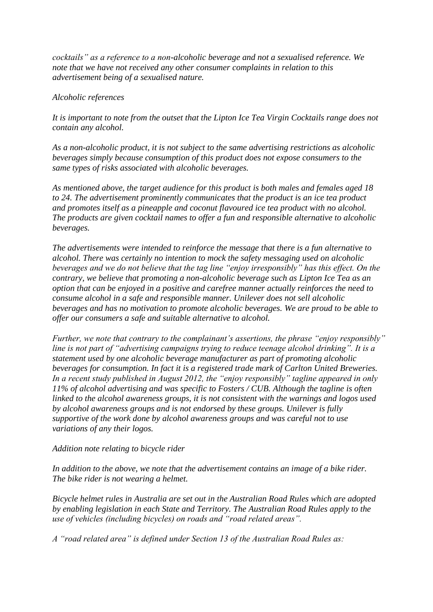*cocktails" as a reference to a non-alcoholic beverage and not a sexualised reference. We note that we have not received any other consumer complaints in relation to this advertisement being of a sexualised nature.*

## *Alcoholic references*

*It is important to note from the outset that the Lipton Ice Tea Virgin Cocktails range does not contain any alcohol.*

*As a non-alcoholic product, it is not subject to the same advertising restrictions as alcoholic beverages simply because consumption of this product does not expose consumers to the same types of risks associated with alcoholic beverages.*

*As mentioned above, the target audience for this product is both males and females aged 18 to 24. The advertisement prominently communicates that the product is an ice tea product and promotes itself as a pineapple and coconut flavoured ice tea product with no alcohol. The products are given cocktail names to offer a fun and responsible alternative to alcoholic beverages.*

*The advertisements were intended to reinforce the message that there is a fun alternative to alcohol. There was certainly no intention to mock the safety messaging used on alcoholic beverages and we do not believe that the tag line "enjoy irresponsibly" has this effect. On the contrary, we believe that promoting a non-alcoholic beverage such as Lipton Ice Tea as an option that can be enjoyed in a positive and carefree manner actually reinforces the need to consume alcohol in a safe and responsible manner. Unilever does not sell alcoholic beverages and has no motivation to promote alcoholic beverages. We are proud to be able to offer our consumers a safe and suitable alternative to alcohol.*

*Further, we note that contrary to the complainant's assertions, the phrase "enjoy responsibly" line is not part of "advertising campaigns trying to reduce teenage alcohol drinking". It is a statement used by one alcoholic beverage manufacturer as part of promoting alcoholic beverages for consumption. In fact it is a registered trade mark of Carlton United Breweries. In a recent study published in August 2012, the "enjoy responsibly" tagline appeared in only 11% of alcohol advertising and was specific to Fosters / CUB. Although the tagline is often linked to the alcohol awareness groups, it is not consistent with the warnings and logos used by alcohol awareness groups and is not endorsed by these groups. Unilever is fully supportive of the work done by alcohol awareness groups and was careful not to use variations of any their logos.*

## *Addition note relating to bicycle rider*

*In addition to the above, we note that the advertisement contains an image of a bike rider. The bike rider is not wearing a helmet.*

*Bicycle helmet rules in Australia are set out in the Australian Road Rules which are adopted by enabling legislation in each State and Territory. The Australian Road Rules apply to the use of vehicles (including bicycles) on roads and "road related areas".*

*A "road related area" is defined under Section 13 of the Australian Road Rules as:*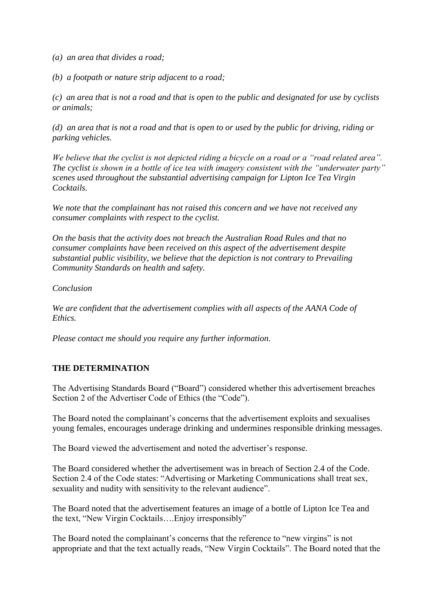- *(a) an area that divides a road;*
- *(b) a footpath or nature strip adjacent to a road;*

*(c) an area that is not a road and that is open to the public and designated for use by cyclists or animals;*

*(d) an area that is not a road and that is open to or used by the public for driving, riding or parking vehicles.*

*We believe that the cyclist is not depicted riding a bicycle on a road or a "road related area". The cyclist is shown in a bottle of ice tea with imagery consistent with the "underwater party" scenes used throughout the substantial advertising campaign for Lipton Ice Tea Virgin Cocktails.*

*We note that the complainant has not raised this concern and we have not received any consumer complaints with respect to the cyclist.*

*On the basis that the activity does not breach the Australian Road Rules and that no consumer complaints have been received on this aspect of the advertisement despite substantial public visibility, we believe that the depiction is not contrary to Prevailing Community Standards on health and safety.*

*Conclusion*

We are confident that the advertisement complies with all aspects of the AANA Code of *Ethics.*

*Please contact me should you require any further information.*

## **THE DETERMINATION**

The Advertising Standards Board ("Board") considered whether this advertisement breaches Section 2 of the Advertiser Code of Ethics (the "Code").

The Board noted the complainant"s concerns that the advertisement exploits and sexualises young females, encourages underage drinking and undermines responsible drinking messages.

The Board viewed the advertisement and noted the advertiser"s response.

The Board considered whether the advertisement was in breach of Section 2.4 of the Code. Section 2.4 of the Code states: "Advertising or Marketing Communications shall treat sex, sexuality and nudity with sensitivity to the relevant audience".

The Board noted that the advertisement features an image of a bottle of Lipton Ice Tea and the text, "New Virgin Cocktails….Enjoy irresponsibly"

The Board noted the complainant's concerns that the reference to "new virgins" is not appropriate and that the text actually reads, "New Virgin Cocktails". The Board noted that the